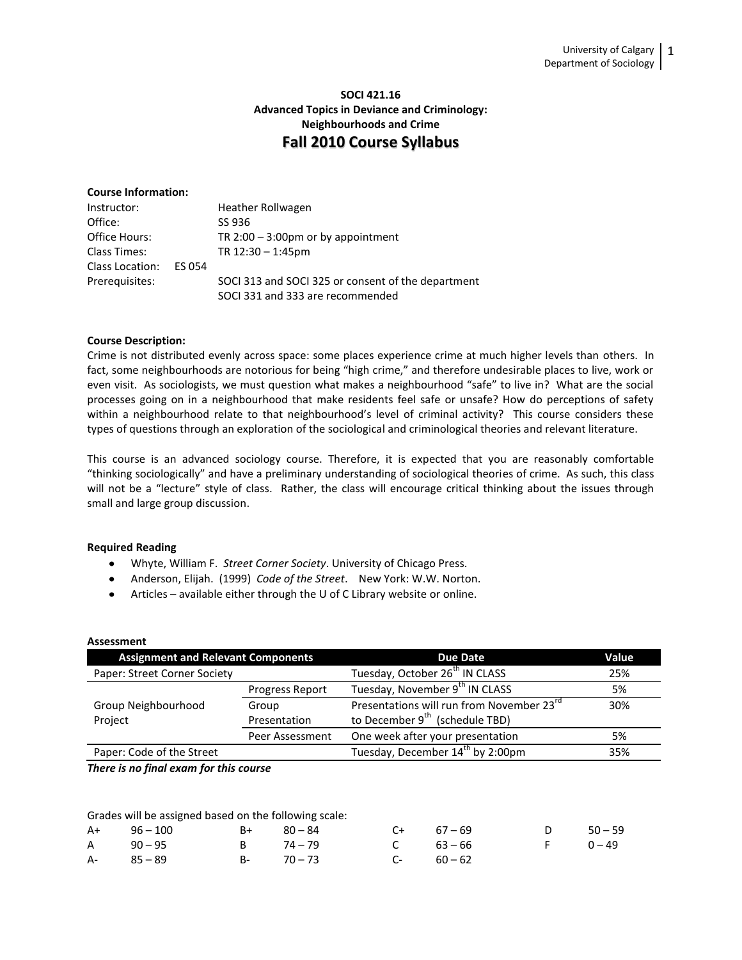# **SOCI 421.16 Advanced Topics in Deviance and Criminology: Neighbourhoods and Crime Fall 2010 Course Syllabus**

# **Course Information:**

| Instructor:     |        | Heather Rollwagen                                  |
|-----------------|--------|----------------------------------------------------|
| Office:         |        | SS 936                                             |
| Office Hours:   |        | TR $2:00 - 3:00$ pm or by appointment              |
| Class Times:    |        | TR $12:30 - 1:45$ pm                               |
| Class Location: | ES 054 |                                                    |
| Prerequisites:  |        | SOCI 313 and SOCI 325 or consent of the department |
|                 |        | SOCI 331 and 333 are recommended                   |

### **Course Description:**

Crime is not distributed evenly across space: some places experience crime at much higher levels than others. In fact, some neighbourhoods are notorious for being "high crime," and therefore undesirable places to live, work or even visit. As sociologists, we must question what makes a neighbourhood "safe" to live in? What are the social processes going on in a neighbourhood that make residents feel safe or unsafe? How do perceptions of safety within a neighbourhood relate to that neighbourhood's level of criminal activity? This course considers these types of questions through an exploration of the sociological and criminological theories and relevant literature.

This course is an advanced sociology course. Therefore, it is expected that you are reasonably comfortable "thinking sociologically" and have a preliminary understanding of sociological theories of crime. As such, this class will not be a "lecture" style of class. Rather, the class will encourage critical thinking about the issues through small and large group discussion.

## **Required Reading**

- Whyte, William F. *Street Corner Society*. University of Chicago Press.
- Anderson, Elijah. (1999) *Code of the Street*. New York: W.W. Norton.
- Articles available either through the U of C Library website or online.

| <b>Assessment</b>                         |                 |                                                       |       |  |
|-------------------------------------------|-----------------|-------------------------------------------------------|-------|--|
| <b>Assignment and Relevant Components</b> |                 | <b>Due Date</b>                                       | Value |  |
| Paper: Street Corner Society              |                 | Tuesday, October 26 <sup>th</sup> IN CLASS            | 25%   |  |
|                                           | Progress Report | Tuesday, November 9 <sup>th</sup> IN CLASS            | 5%    |  |
| Group Neighbourhood                       | Group           | Presentations will run from November 23 <sup>rd</sup> | 30%   |  |
| Project                                   | Presentation    | to December 9 <sup>th</sup> (schedule TBD)            |       |  |
|                                           | Peer Assessment | One week after your presentation                      | 5%    |  |
| Paper: Code of the Street                 |                 | Tuesday, December 14 <sup>th</sup> by 2:00pm          | 35%   |  |
|                                           |                 |                                                       |       |  |

*There is no final exam for this course*

Grades will be assigned based on the following scale:

| $A+$ 96 – 100 | $B+$ 80 – 84 |               | $C+$ 67 – 69 | $D = 50 - 59$ |  |
|---------------|--------------|---------------|--------------|---------------|--|
| A 90-95       | B 74-79      |               | C $63 - 66$  | $F = 0 - 49$  |  |
| $A - 85 - 89$ |              | $B - 70 - 73$ | $C-60-62$    |               |  |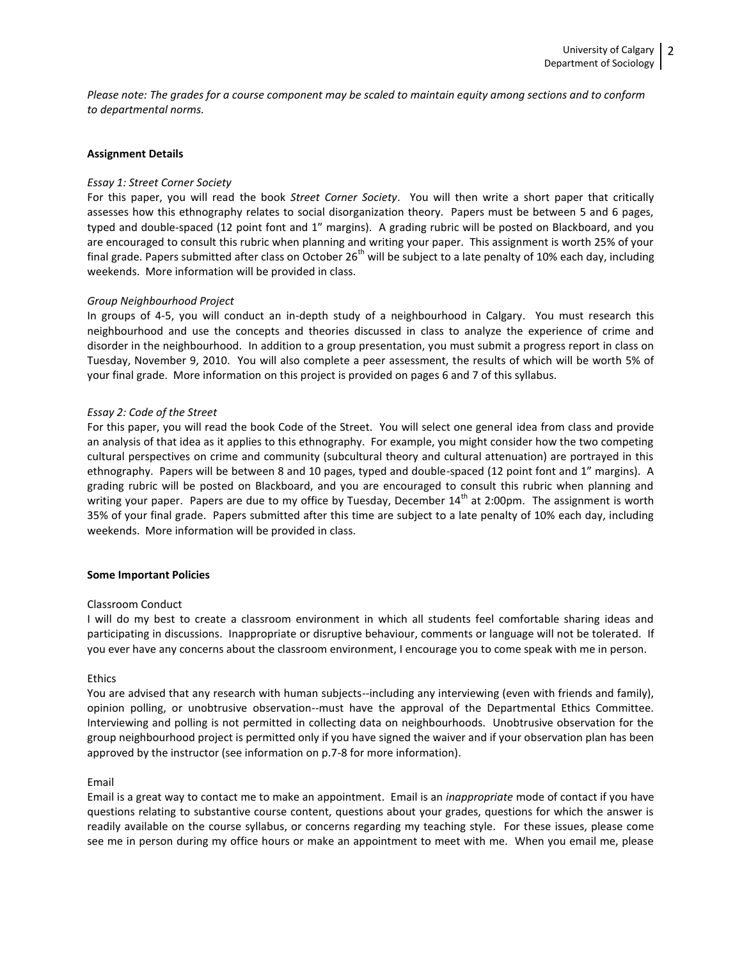*Please note: The grades for a course component may be scaled to maintain equity among sections and to conform to departmental norms.*

### **Assignment Details**

#### *Essay 1: Street Corner Society*

For this paper, you will read the book *Street Corner Society*. You will then write a short paper that critically assesses how this ethnography relates to social disorganization theory. Papers must be between 5 and 6 pages, typed and double-spaced (12 point font and 1" margins). A grading rubric will be posted on Blackboard, and you are encouraged to consult this rubric when planning and writing your paper. This assignment is worth 25% of your final grade. Papers submitted after class on October 26<sup>th</sup> will be subject to a late penalty of 10% each day, including weekends. More information will be provided in class.

#### *Group Neighbourhood Project*

In groups of 4-5, you will conduct an in-depth study of a neighbourhood in Calgary. You must research this neighbourhood and use the concepts and theories discussed in class to analyze the experience of crime and disorder in the neighbourhood. In addition to a group presentation, you must submit a progress report in class on Tuesday, November 9, 2010. You will also complete a peer assessment, the results of which will be worth 5% of your final grade. More information on this project is provided on pages 6 and 7 of this syllabus.

#### *Essay 2: Code of the Street*

For this paper, you will read the book Code of the Street. You will select one general idea from class and provide an analysis of that idea as it applies to this ethnography. For example, you might consider how the two competing cultural perspectives on crime and community (subcultural theory and cultural attenuation) are portrayed in this ethnography. Papers will be between 8 and 10 pages, typed and double-spaced (12 point font and 1" margins). A grading rubric will be posted on Blackboard, and you are encouraged to consult this rubric when planning and writing your paper. Papers are due to my office by Tuesday, December  $14<sup>th</sup>$  at 2:00pm. The assignment is worth 35% of your final grade. Papers submitted after this time are subject to a late penalty of 10% each day, including weekends. More information will be provided in class.

#### **Some Important Policies**

#### Classroom Conduct

I will do my best to create a classroom environment in which all students feel comfortable sharing ideas and participating in discussions. Inappropriate or disruptive behaviour, comments or language will not be tolerated. If you ever have any concerns about the classroom environment, I encourage you to come speak with me in person.

### Ethics

You are advised that any research with human subjects--including any interviewing (even with friends and family), opinion polling, or unobtrusive observation--must have the approval of the Departmental Ethics Committee. Interviewing and polling is not permitted in collecting data on neighbourhoods. Unobtrusive observation for the group neighbourhood project is permitted only if you have signed the waiver and if your observation plan has been approved by the instructor (see information on p.7-8 for more information).

#### Email

Email is a great way to contact me to make an appointment. Email is an *inappropriate* mode of contact if you have questions relating to substantive course content, questions about your grades, questions for which the answer is readily available on the course syllabus, or concerns regarding my teaching style. For these issues, please come see me in person during my office hours or make an appointment to meet with me. When you email me, please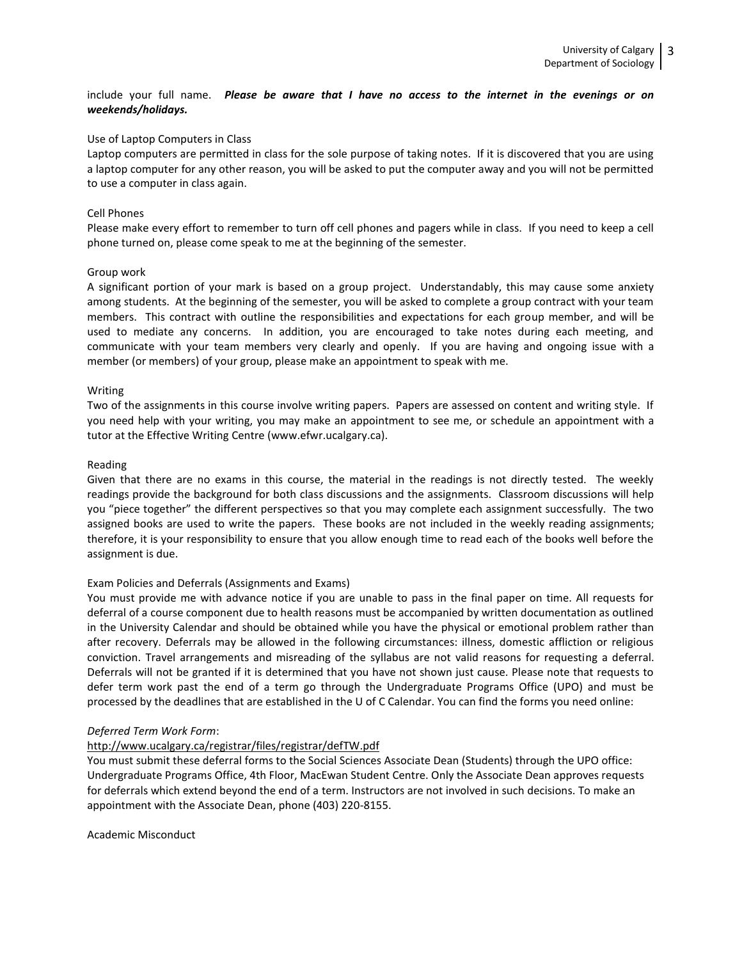include your full name. *Please be aware that I have no access to the internet in the evenings or on weekends/holidays.*

### Use of Laptop Computers in Class

Laptop computers are permitted in class for the sole purpose of taking notes. If it is discovered that you are using a laptop computer for any other reason, you will be asked to put the computer away and you will not be permitted to use a computer in class again.

### Cell Phones

Please make every effort to remember to turn off cell phones and pagers while in class. If you need to keep a cell phone turned on, please come speak to me at the beginning of the semester.

#### Group work

A significant portion of your mark is based on a group project. Understandably, this may cause some anxiety among students. At the beginning of the semester, you will be asked to complete a group contract with your team members. This contract with outline the responsibilities and expectations for each group member, and will be used to mediate any concerns. In addition, you are encouraged to take notes during each meeting, and communicate with your team members very clearly and openly. If you are having and ongoing issue with a member (or members) of your group, please make an appointment to speak with me.

#### Writing

Two of the assignments in this course involve writing papers. Papers are assessed on content and writing style. If you need help with your writing, you may make an appointment to see me, or schedule an appointment with a tutor at the Effective Writing Centre (www.efwr.ucalgary.ca).

#### Reading

Given that there are no exams in this course, the material in the readings is not directly tested. The weekly readings provide the background for both class discussions and the assignments. Classroom discussions will help you "piece together" the different perspectives so that you may complete each assignment successfully. The two assigned books are used to write the papers. These books are not included in the weekly reading assignments; therefore, it is your responsibility to ensure that you allow enough time to read each of the books well before the assignment is due.

## Exam Policies and Deferrals (Assignments and Exams)

You must provide me with advance notice if you are unable to pass in the final paper on time. All requests for deferral of a course component due to health reasons must be accompanied by written documentation as outlined in the University Calendar and should be obtained while you have the physical or emotional problem rather than after recovery. Deferrals may be allowed in the following circumstances: illness, domestic affliction or religious conviction. Travel arrangements and misreading of the syllabus are not valid reasons for requesting a deferral. Deferrals will not be granted if it is determined that you have not shown just cause. Please note that requests to defer term work past the end of a term go through the Undergraduate Programs Office (UPO) and must be processed by the deadlines that are established in the U of C Calendar. You can find the forms you need online:

#### *Deferred Term Work Form*:

### <http://www.ucalgary.ca/registrar/files/registrar/defTW.pdf>

You must submit these deferral forms to the Social Sciences Associate Dean (Students) through the UPO office: Undergraduate Programs Office, 4th Floor, MacEwan Student Centre. Only the Associate Dean approves requests for deferrals which extend beyond the end of a term. Instructors are not involved in such decisions. To make an appointment with the Associate Dean, phone (403) 220-8155.

Academic Misconduct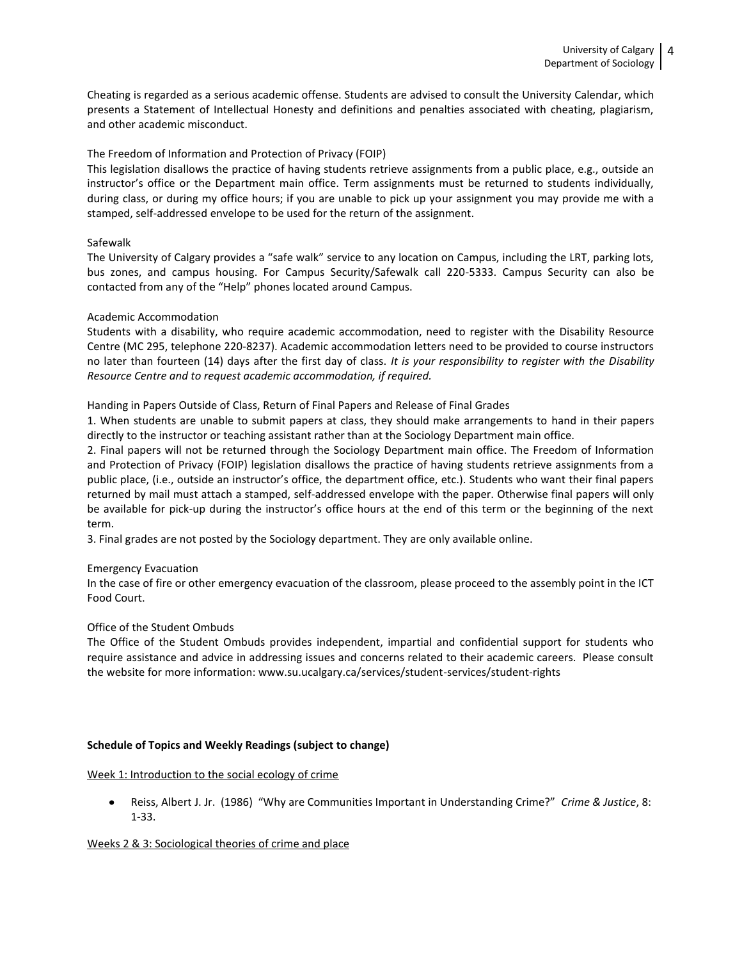Cheating is regarded as a serious academic offense. Students are advised to consult the University Calendar, which presents a Statement of Intellectual Honesty and definitions and penalties associated with cheating, plagiarism, and other academic misconduct.

## The Freedom of Information and Protection of Privacy (FOIP)

This legislation disallows the practice of having students retrieve assignments from a public place, e.g., outside an instructor's office or the Department main office. Term assignments must be returned to students individually, during class, or during my office hours; if you are unable to pick up your assignment you may provide me with a stamped, self-addressed envelope to be used for the return of the assignment.

### Safewalk

The University of Calgary provides a "safe walk" service to any location on Campus, including the LRT, parking lots, bus zones, and campus housing. For Campus Security/Safewalk call 220-5333. Campus Security can also be contacted from any of the "Help" phones located around Campus.

### Academic Accommodation

Students with a disability, who require academic accommodation, need to register with the Disability Resource Centre (MC 295, telephone 220-8237). Academic accommodation letters need to be provided to course instructors no later than fourteen (14) days after the first day of class. *It is your responsibility to register with the Disability Resource Centre and to request academic accommodation, if required.* 

Handing in Papers Outside of Class, Return of Final Papers and Release of Final Grades

1. When students are unable to submit papers at class, they should make arrangements to hand in their papers directly to the instructor or teaching assistant rather than at the Sociology Department main office.

2. Final papers will not be returned through the Sociology Department main office. The Freedom of Information and Protection of Privacy (FOIP) legislation disallows the practice of having students retrieve assignments from a public place, (i.e., outside an instructor's office, the department office, etc.). Students who want their final papers returned by mail must attach a stamped, self-addressed envelope with the paper. Otherwise final papers will only be available for pick-up during the instructor's office hours at the end of this term or the beginning of the next term.

3. Final grades are not posted by the Sociology department. They are only available online.

## Emergency Evacuation

In the case of fire or other emergency evacuation of the classroom, please proceed to the assembly point in the ICT Food Court.

## Office of the Student Ombuds

The Office of the Student Ombuds provides independent, impartial and confidential support for students who require assistance and advice in addressing issues and concerns related to their academic careers. Please consult the website for more information: www.su.ucalgary.ca/services/student-services/student-rights

### **Schedule of Topics and Weekly Readings (subject to change)**

Week 1: Introduction to the social ecology of crime

Reiss, Albert J. Jr. (1986) "Why are Communities Important in Understanding Crime?" *Crime & Justice*, 8: 1-33.

### Weeks 2 & 3: Sociological theories of crime and place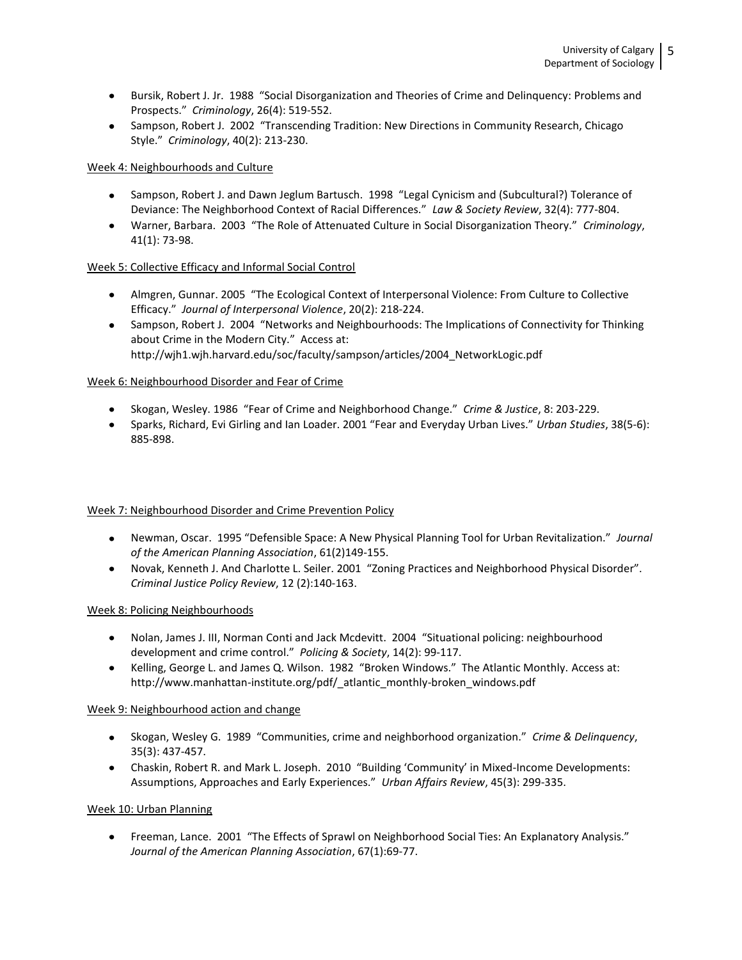- Bursik, Robert J. Jr. 1988 "Social Disorganization and Theories of Crime and Delinquency: Problems and Prospects." *Criminology*, 26(4): 519-552.
- Sampson, Robert J. 2002 "Transcending Tradition: New Directions in Community Research, Chicago Style." *Criminology*, 40(2): 213-230.

## Week 4: Neighbourhoods and Culture

- Sampson, Robert J. and Dawn Jeglum Bartusch. 1998 "Legal Cynicism and (Subcultural?) Tolerance of Deviance: The Neighborhood Context of Racial Differences." *Law & Society Review*, 32(4): 777-804.
- Warner, Barbara. 2003 "The Role of Attenuated Culture in Social Disorganization Theory." *Criminology*, 41(1): 73-98.

# Week 5: Collective Efficacy and Informal Social Control

- Almgren, Gunnar. 2005 "The Ecological Context of Interpersonal Violence: From Culture to Collective Efficacy." *Journal of Interpersonal Violence*, 20(2): 218-224.
- Sampson, Robert J. 2004 "Networks and Neighbourhoods: The Implications of Connectivity for Thinking about Crime in the Modern City." Access at: http://wjh1.wjh.harvard.edu/soc/faculty/sampson/articles/2004\_NetworkLogic.pdf

## Week 6: Neighbourhood Disorder and Fear of Crime

- Skogan, Wesley. 1986 "Fear of Crime and Neighborhood Change." *Crime & Justice*, 8: 203-229.
- Sparks, Richard, Evi Girling and Ian Loader. 2001 "Fear and Everyday Urban Lives." *Urban Studies*, 38(5-6): 885-898.

## Week 7: Neighbourhood Disorder and Crime Prevention Policy

- Newman, Oscar. 1995 "Defensible Space: A New Physical Planning Tool for Urban Revitalization." *Journal of the American Planning Association*, 61(2)149-155.
- Novak, Kenneth J. And Charlotte L. Seiler. 2001 "Zoning Practices and Neighborhood Physical Disorder". *Criminal Justice Policy Review*, 12 (2):140-163.

## Week 8: Policing Neighbourhoods

- Nolan, James J. III, Norman Conti and Jack Mcdevitt. 2004 "Situational policing: neighbourhood development and crime control." *Policing & Society*, 14(2): 99-117.
- Kelling, George L. and James Q. Wilson. 1982 "Broken Windows." The Atlantic Monthly. Access at: http://www.manhattan-institute.org/pdf/\_atlantic\_monthly-broken\_windows.pdf

## Week 9: Neighbourhood action and change

- Skogan, Wesley G. 1989 "Communities, crime and neighborhood organization." *Crime & Delinquency*, 35(3): 437-457.
- Chaskin, Robert R. and Mark L. Joseph. 2010 "Building 'Community' in Mixed-Income Developments: Assumptions, Approaches and Early Experiences." *Urban Affairs Review*, 45(3): 299-335.

## Week 10: Urban Planning

Freeman, Lance. 2001 "The Effects of Sprawl on Neighborhood Social Ties: An Explanatory Analysis." *Journal of the American Planning Association*, 67(1):69-77.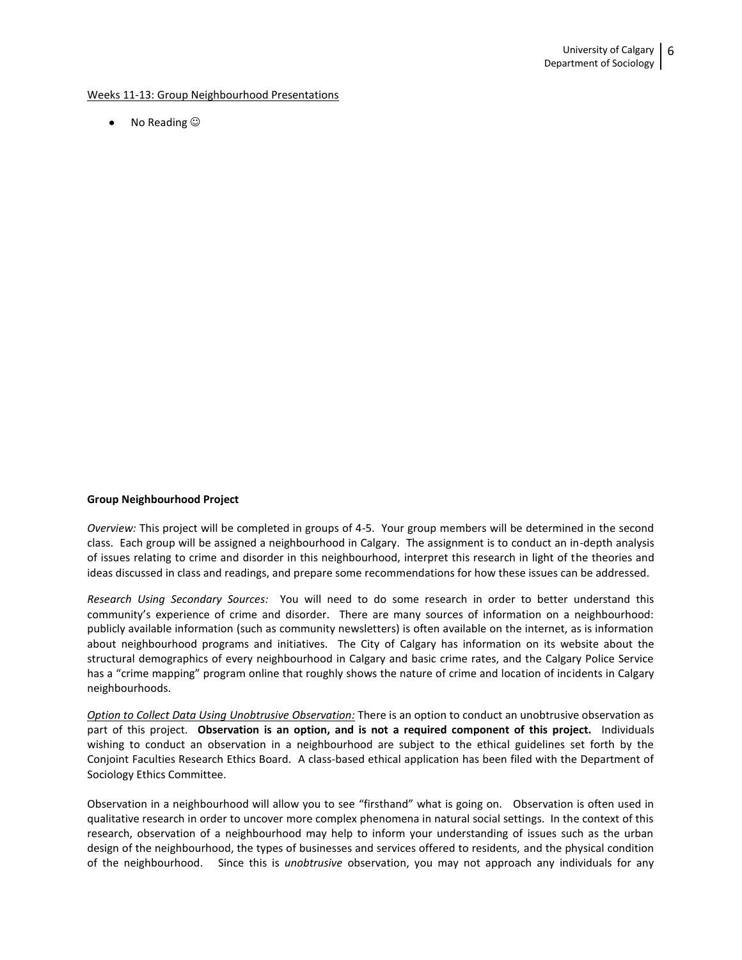#### Weeks 11-13: Group Neighbourhood Presentations

• No Reading  $\odot$ 

### **Group Neighbourhood Project**

*Overview:* This project will be completed in groups of 4-5. Your group members will be determined in the second class. Each group will be assigned a neighbourhood in Calgary. The assignment is to conduct an in-depth analysis of issues relating to crime and disorder in this neighbourhood, interpret this research in light of the theories and ideas discussed in class and readings, and prepare some recommendations for how these issues can be addressed.

*Research Using Secondary Sources:* You will need to do some research in order to better understand this community's experience of crime and disorder. There are many sources of information on a neighbourhood: publicly available information (such as community newsletters) is often available on the internet, as is information about neighbourhood programs and initiatives. The City of Calgary has information on its website about the structural demographics of every neighbourhood in Calgary and basic crime rates, and the Calgary Police Service has a "crime mapping" program online that roughly shows the nature of crime and location of incidents in Calgary neighbourhoods.

*Option to Collect Data Using Unobtrusive Observation:* There is an option to conduct an unobtrusive observation as part of this project. **Observation is an option, and is not a required component of this project.** Individuals wishing to conduct an observation in a neighbourhood are subject to the ethical guidelines set forth by the Conjoint Faculties Research Ethics Board. A class-based ethical application has been filed with the Department of Sociology Ethics Committee.

Observation in a neighbourhood will allow you to see "firsthand" what is going on. Observation is often used in qualitative research in order to uncover more complex phenomena in natural social settings. In the context of this research, observation of a neighbourhood may help to inform your understanding of issues such as the urban design of the neighbourhood, the types of businesses and services offered to residents, and the physical condition of the neighbourhood. Since this is *unobtrusive* observation, you may not approach any individuals for any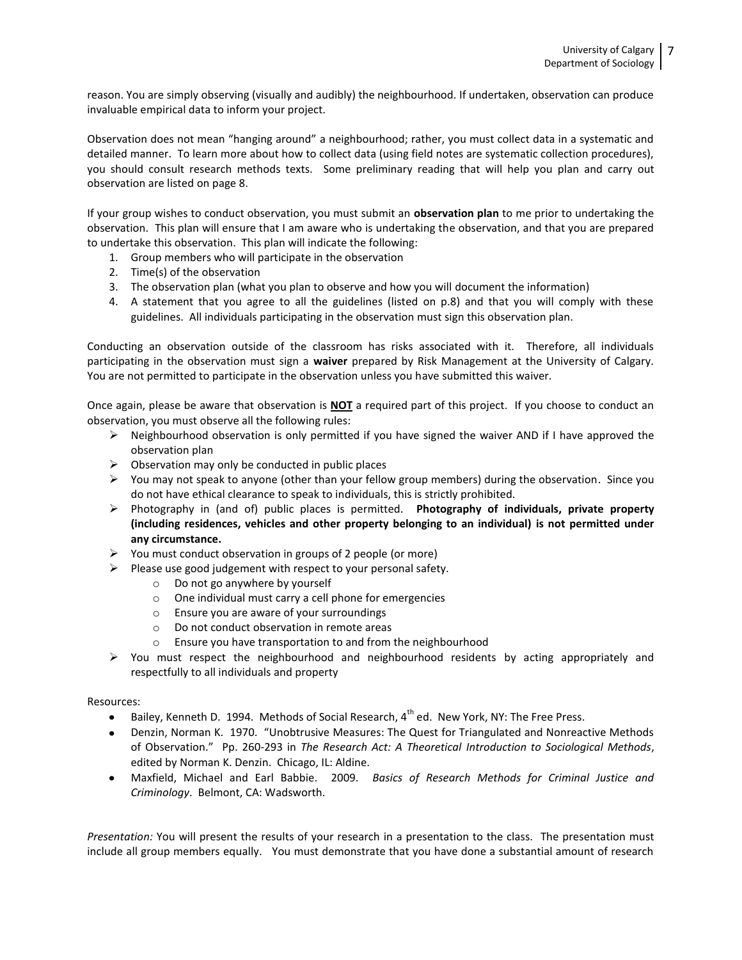reason. You are simply observing (visually and audibly) the neighbourhood. If undertaken, observation can produce invaluable empirical data to inform your project.

Observation does not mean "hanging around" a neighbourhood; rather, you must collect data in a systematic and detailed manner. To learn more about how to collect data (using field notes are systematic collection procedures), you should consult research methods texts. Some preliminary reading that will help you plan and carry out observation are listed on page 8.

If your group wishes to conduct observation, you must submit an **observation plan** to me prior to undertaking the observation. This plan will ensure that I am aware who is undertaking the observation, and that you are prepared to undertake this observation. This plan will indicate the following:

- 1. Group members who will participate in the observation
- 2. Time(s) of the observation
- 3. The observation plan (what you plan to observe and how you will document the information)
- 4. A statement that you agree to all the guidelines (listed on p.8) and that you will comply with these guidelines. All individuals participating in the observation must sign this observation plan.

Conducting an observation outside of the classroom has risks associated with it. Therefore, all individuals participating in the observation must sign a **waiver** prepared by Risk Management at the University of Calgary. You are not permitted to participate in the observation unless you have submitted this waiver.

Once again, please be aware that observation is **NOT** a required part of this project. If you choose to conduct an observation, you must observe all the following rules:

- $\triangleright$  Neighbourhood observation is only permitted if you have signed the waiver AND if I have approved the observation plan
- $\triangleright$  Observation may only be conducted in public places
- $\triangleright$  You may not speak to anyone (other than your fellow group members) during the observation. Since you do not have ethical clearance to speak to individuals, this is strictly prohibited.
- Photography in (and of) public places is permitted. **Photography of individuals, private property (including residences, vehicles and other property belonging to an individual) is not permitted under any circumstance.**
- $\triangleright$  You must conduct observation in groups of 2 people (or more)
- $\triangleright$  Please use good judgement with respect to your personal safety.
	- o Do not go anywhere by yourself
	- o One individual must carry a cell phone for emergencies
	- o Ensure you are aware of your surroundings
	- o Do not conduct observation in remote areas
	- o Ensure you have transportation to and from the neighbourhood
- $\triangleright$  You must respect the neighbourhood and neighbourhood residents by acting appropriately and respectfully to all individuals and property

### Resources:

- Bailey, Kenneth D. 1994. Methods of Social Research, 4<sup>th</sup> ed. New York, NY: The Free Press.  $\bullet$
- Denzin, Norman K. 1970. "Unobtrusive Measures: The Quest for Triangulated and Nonreactive Methods of Observation." Pp. 260-293 in *The Research Act: A Theoretical Introduction to Sociological Methods*, edited by Norman K. Denzin. Chicago, IL: Aldine.
- Maxfield, Michael and Earl Babbie. 2009. *Basics of Research Methods for Criminal Justice and Criminology*. Belmont, CA: Wadsworth.

*Presentation:* You will present the results of your research in a presentation to the class. The presentation must include all group members equally. You must demonstrate that you have done a substantial amount of research